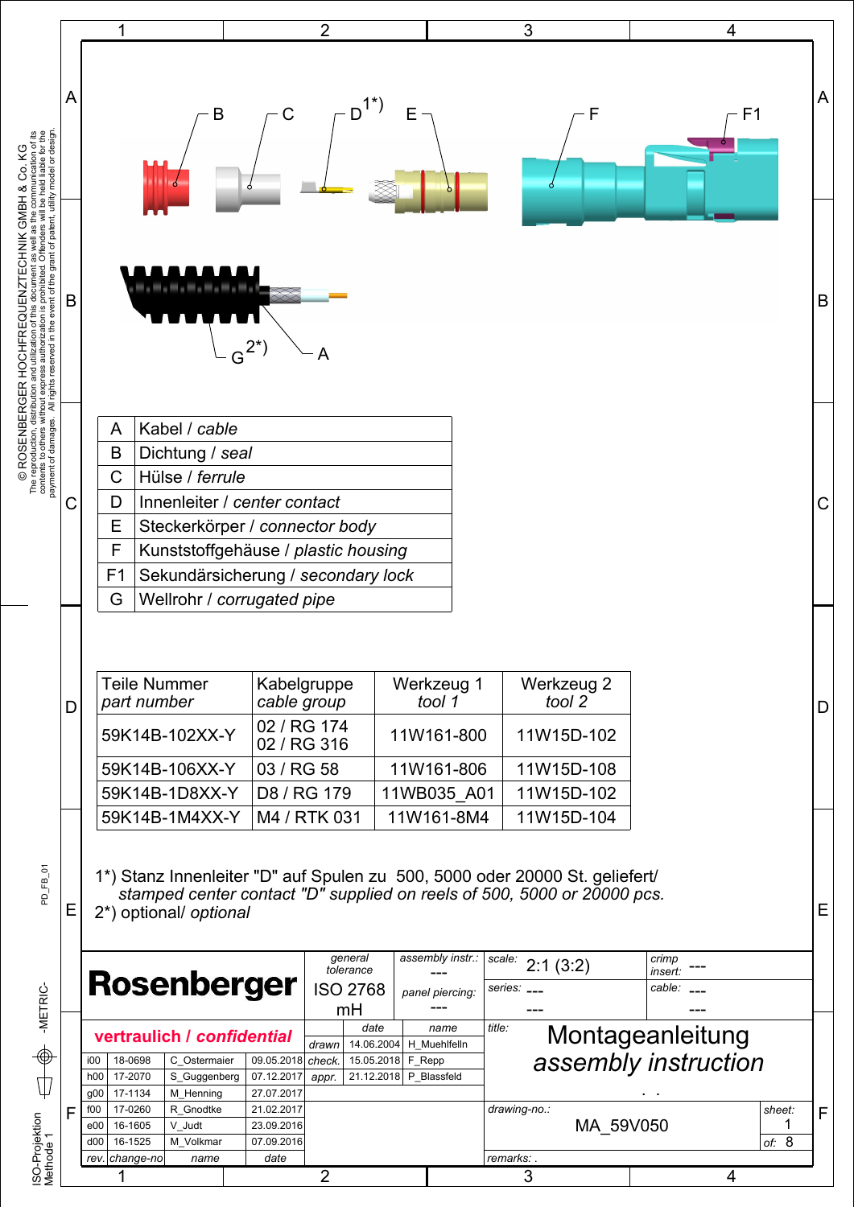|                                                | 1                                                                                                             |                                                                                                                                                                                                 |                                                                                          | $\overline{2}$                                     |                                                              |                                                                               | 3                                       |                                                                              |                                          | 4                           |   |
|------------------------------------------------|---------------------------------------------------------------------------------------------------------------|-------------------------------------------------------------------------------------------------------------------------------------------------------------------------------------------------|------------------------------------------------------------------------------------------|----------------------------------------------------|--------------------------------------------------------------|-------------------------------------------------------------------------------|-----------------------------------------|------------------------------------------------------------------------------|------------------------------------------|-----------------------------|---|
| A                                              |                                                                                                               | B                                                                                                                                                                                               | C                                                                                        |                                                    |                                                              |                                                                               |                                         | F                                                                            |                                          | F1                          | A |
| В                                              |                                                                                                               |                                                                                                                                                                                                 | $G^{2^*}$                                                                                | Α                                                  |                                                              |                                                                               |                                         |                                                                              |                                          |                             | B |
|                                                | Kabel / cable<br>Α<br>B<br>Dichtung / seal                                                                    |                                                                                                                                                                                                 |                                                                                          |                                                    |                                                              |                                                                               |                                         |                                                                              |                                          |                             |   |
|                                                | Hülse / ferrule<br>С                                                                                          |                                                                                                                                                                                                 |                                                                                          |                                                    |                                                              |                                                                               |                                         |                                                                              |                                          |                             |   |
|                                                | Innenleiter / center contact<br>D                                                                             |                                                                                                                                                                                                 |                                                                                          |                                                    |                                                              |                                                                               |                                         |                                                                              |                                          |                             | С |
|                                                | Ε<br>Steckerkörper / connector body                                                                           |                                                                                                                                                                                                 |                                                                                          |                                                    |                                                              |                                                                               |                                         |                                                                              |                                          |                             |   |
|                                                | F<br>Kunststoffgehäuse / plastic housing                                                                      |                                                                                                                                                                                                 |                                                                                          |                                                    |                                                              |                                                                               |                                         |                                                                              |                                          |                             |   |
|                                                | F <sub>1</sub><br>Sekundärsicherung / secondary lock<br>G<br>Wellrohr / corrugated pipe                       |                                                                                                                                                                                                 |                                                                                          |                                                    |                                                              |                                                                               |                                         |                                                                              |                                          |                             |   |
| D                                              |                                                                                                               | Teile Nummer<br>part number<br>59K14B-102XX-Y<br>59K14B-106XX-Y<br>59K14B-1D8XX-Y<br>59K14B-1M4XX-Y                                                                                             | Kabelgruppe<br>cable group<br>02 / RG 174<br>02 / RG 316<br>03 / RG 58<br>D8 / RG 179    | M4 / RTK 031                                       |                                                              | Werkzeug 1<br>tool 1<br>11W161-800<br>11W161-806<br>11WB035 A01<br>11W161-8M4 |                                         | Werkzeug 2<br>tool 2<br>11W15D-102<br>11W15D-108<br>11W15D-102<br>11W15D-104 |                                          |                             | D |
| Е                                              |                                                                                                               | 1*) Stanz Innenleiter "D" auf Spulen zu 500, 5000 oder 20000 St. geliefert/<br>stamped center contact "D" supplied on reels of 500, 5000 or 20000 pcs.<br>2*) optional/ optional<br>Rosenberger |                                                                                          | general<br>tolerance<br><b>ISO 2768</b><br>mH      |                                                              | assembly instr.:<br>panel piercing:                                           | scale:<br>series:                       | 2:1(3:2)                                                                     | crimp<br>insert:<br>cable:               |                             | Ε |
| i00<br>h <sub>00</sub><br>f <sub>00</sub><br>F | 18-0698<br>17-2070<br>17-1134<br>g00<br>17-0260<br>16-1605<br>e00<br>$d$ 00<br>16-1525<br>rev. change-no<br>1 | vertraulich / confidential<br>C Ostermaier<br>S_Guggenberg<br>M_Henning<br>R Gnodtke<br>V Judt<br>M_Volkmar<br>name                                                                             | 09.05.2018<br>07.12.2017<br>27.07.2017<br>21.02.2017<br>23.09.2016<br>07.09.2016<br>date | date<br>drawn<br>check.<br>appr.<br>$\overline{2}$ | 14.06.2004<br>15.05.2018<br>F Repp<br>21.12.2018 P Blassfeld | name<br>H Muehlfelln                                                          | title:<br>drawing-no.:<br>remarks:<br>3 | MA 59V050                                                                    | Montageanleitung<br>assembly instruction | sheet:<br>1<br>of: $8$<br>4 | F |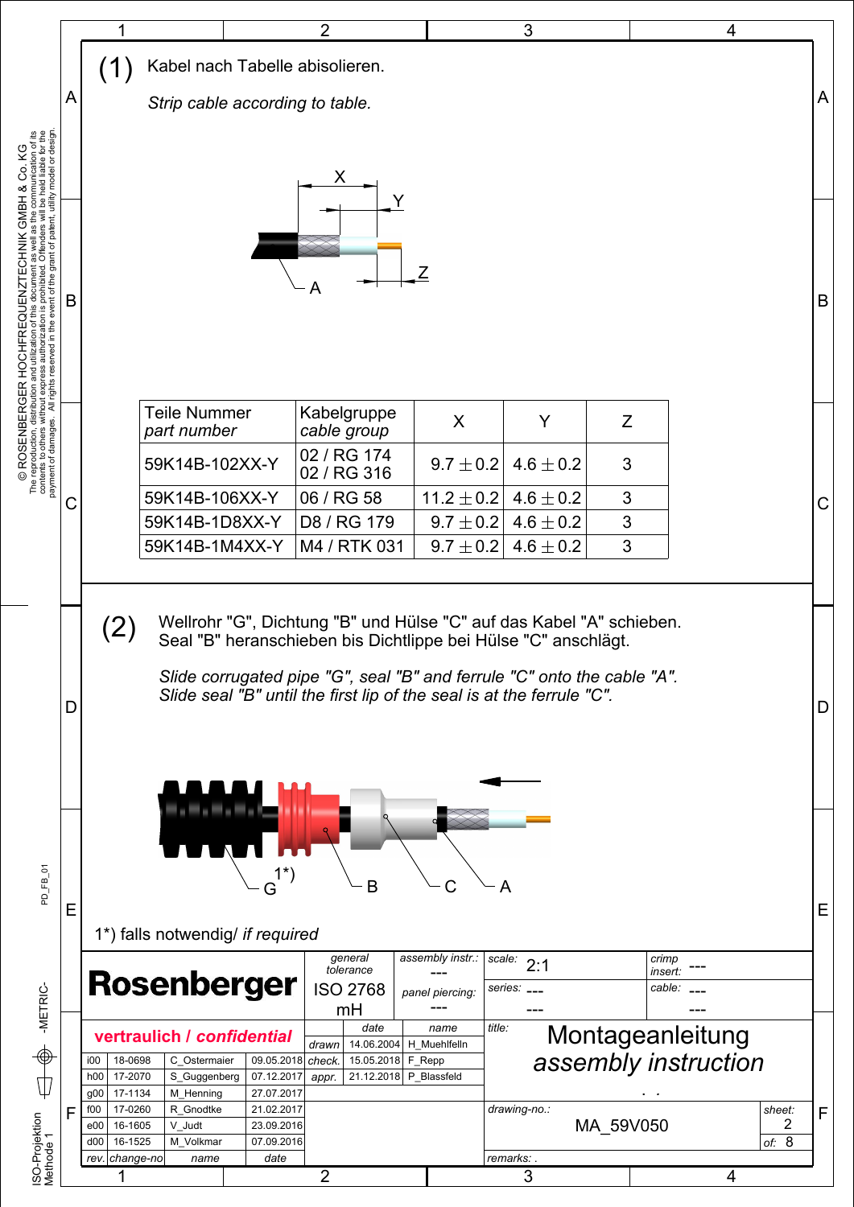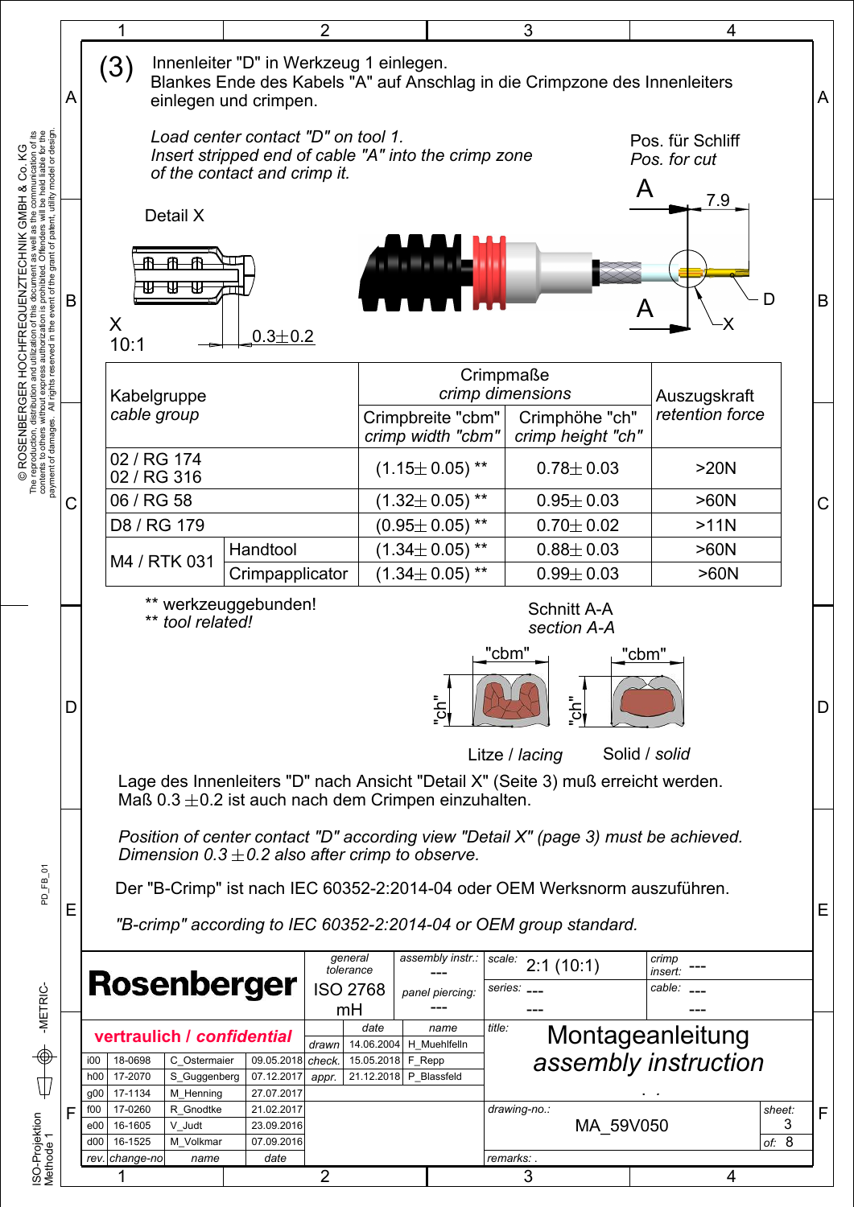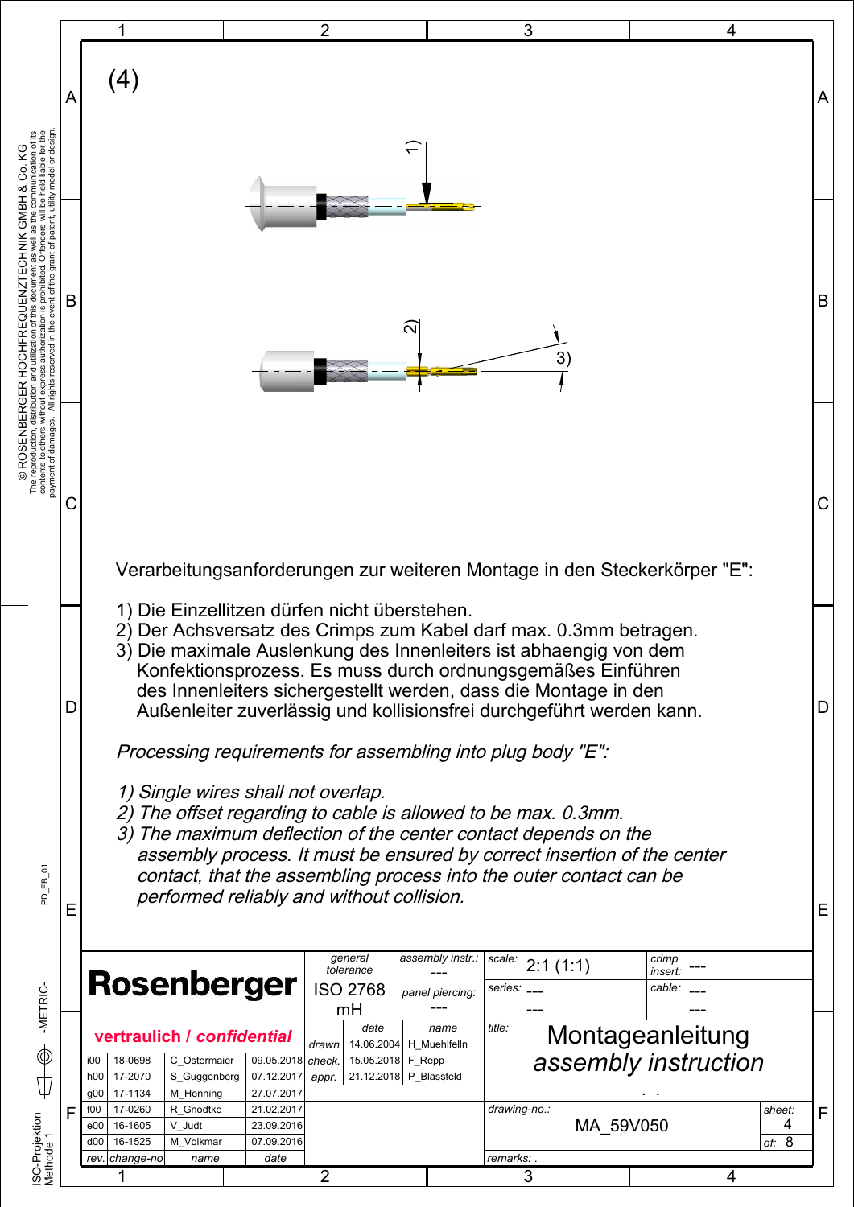|                                                                                                                                                                                                                                    | 2<br>3<br>4                                                                                                                                                                                                                                                                                                                                                                                                                                                                                                                                           |   |  |  |  |  |  |  |  |  |
|------------------------------------------------------------------------------------------------------------------------------------------------------------------------------------------------------------------------------------|-------------------------------------------------------------------------------------------------------------------------------------------------------------------------------------------------------------------------------------------------------------------------------------------------------------------------------------------------------------------------------------------------------------------------------------------------------------------------------------------------------------------------------------------------------|---|--|--|--|--|--|--|--|--|
| Α                                                                                                                                                                                                                                  | (4)                                                                                                                                                                                                                                                                                                                                                                                                                                                                                                                                                   | A |  |  |  |  |  |  |  |  |
|                                                                                                                                                                                                                                    |                                                                                                                                                                                                                                                                                                                                                                                                                                                                                                                                                       |   |  |  |  |  |  |  |  |  |
| The reproduction, distribution and utilization of this document as well as the communication of its representation of the state of the state of the state of the state of the state of the state of the state of the state of<br>B | ส<br>3)                                                                                                                                                                                                                                                                                                                                                                                                                                                                                                                                               | B |  |  |  |  |  |  |  |  |
| C                                                                                                                                                                                                                                  |                                                                                                                                                                                                                                                                                                                                                                                                                                                                                                                                                       | C |  |  |  |  |  |  |  |  |
| D                                                                                                                                                                                                                                  | Verarbeitungsanforderungen zur weiteren Montage in den Steckerkörper "E":<br>1) Die Einzellitzen dürfen nicht überstehen.<br>2) Der Achsversatz des Crimps zum Kabel darf max. 0.3mm betragen.<br>3) Die maximale Auslenkung des Innenleiters ist abhaengig von dem<br>Konfektionsprozess. Es muss durch ordnungsgemäßes Einführen<br>des Innenleiters sichergestellt werden, dass die Montage in den<br>D<br>Außenleiter zuverlässig und kollisionsfrei durchgeführt werden kann.<br>Processing requirements for assembling into plug body "E":      |   |  |  |  |  |  |  |  |  |
| Ε                                                                                                                                                                                                                                  | 1) Single wires shall not overlap.<br>2) The offset regarding to cable is allowed to be max. 0.3mm.<br>3) The maximum deflection of the center contact depends on the<br>assembly process. It must be ensured by correct insertion of the center<br>contact, that the assembling process into the outer contact can be<br>performed reliably and without collision.<br>general<br>assembly instr.:                                                                                                                                                    |   |  |  |  |  |  |  |  |  |
|                                                                                                                                                                                                                                    | scale:<br>crimp<br>2:1(1:1)<br>tolerance<br>insert:<br>Rosenberger<br><b>ISO 2768</b><br>cable:<br>series:<br>panel piercing:<br>mH<br>date<br>title:<br>name<br>Montageanleitung<br>vertraulich / confidential                                                                                                                                                                                                                                                                                                                                       |   |  |  |  |  |  |  |  |  |
| F<br>ISO-Projektion<br>Methode 1                                                                                                                                                                                                   | 14.06.2004   H Muehlfelln<br>drawn<br>assembly instruction<br>09.05.2018<br>18-0698<br>C Ostermaier<br>check.<br>15.05.2018 F_Repp<br>i00<br>17-2070<br>07.12.2017<br>21.12.2018 P_Blassfeld<br>h00<br>S_Guggenberg<br>appr.<br>17-1134<br>27.07.2017<br>$g_{00}$<br>M_Henning<br>f00<br>17-0260<br>R Gnodtke<br>21.02.2017<br>drawing-no.:<br>sheet:<br>MA 59V050<br>4<br>23.09.2016<br>16-1605<br>V Judt<br>e00<br>of: $8$<br>16-1525<br>07.09.2016<br>d00<br>M_Volkmar<br>remarks: .<br>rev. change-no<br>date<br>name<br>$\overline{2}$<br>3<br>4 | F |  |  |  |  |  |  |  |  |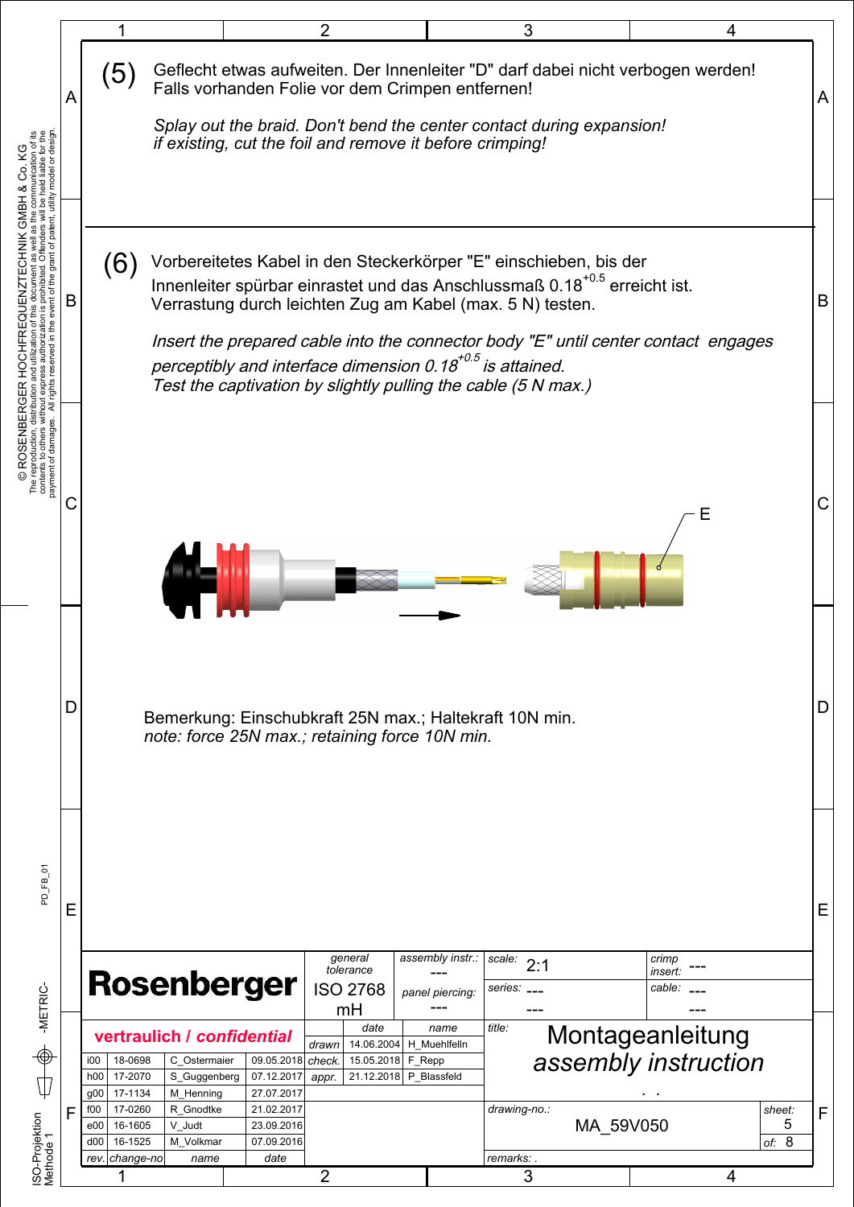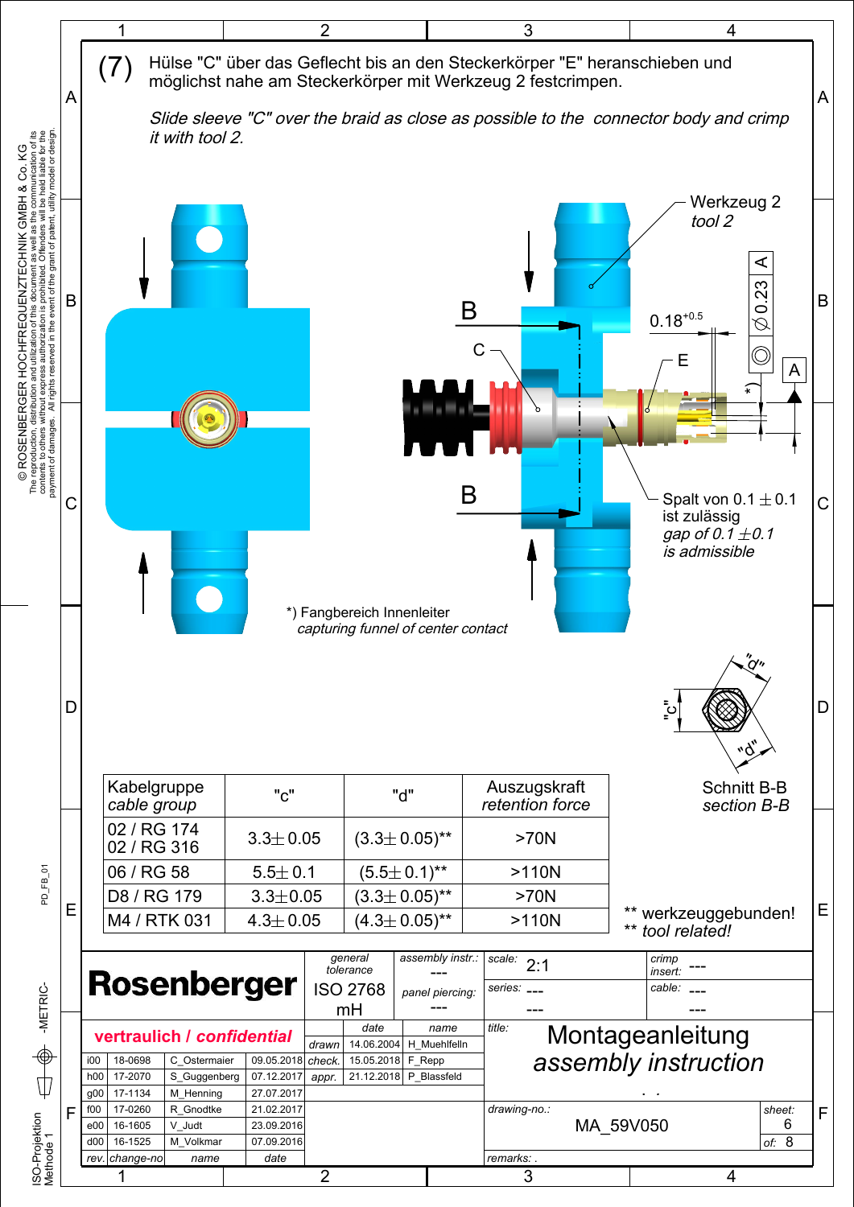

© ROSENBERGER HOCHFREQUENZTECHNIK GMBH & Co. KG<br>The reproduction, distribution and utilization of this document as well as the communication of its<br>payment of damages. All rights reserved in the event of the gd.and paster The reproduction, distribution and utilization of this document as well as the communication of its © ROSENBERGER HOCHFREQUENZTECHNIK GMBH & Co. KG

PD FB 01

</u> Ф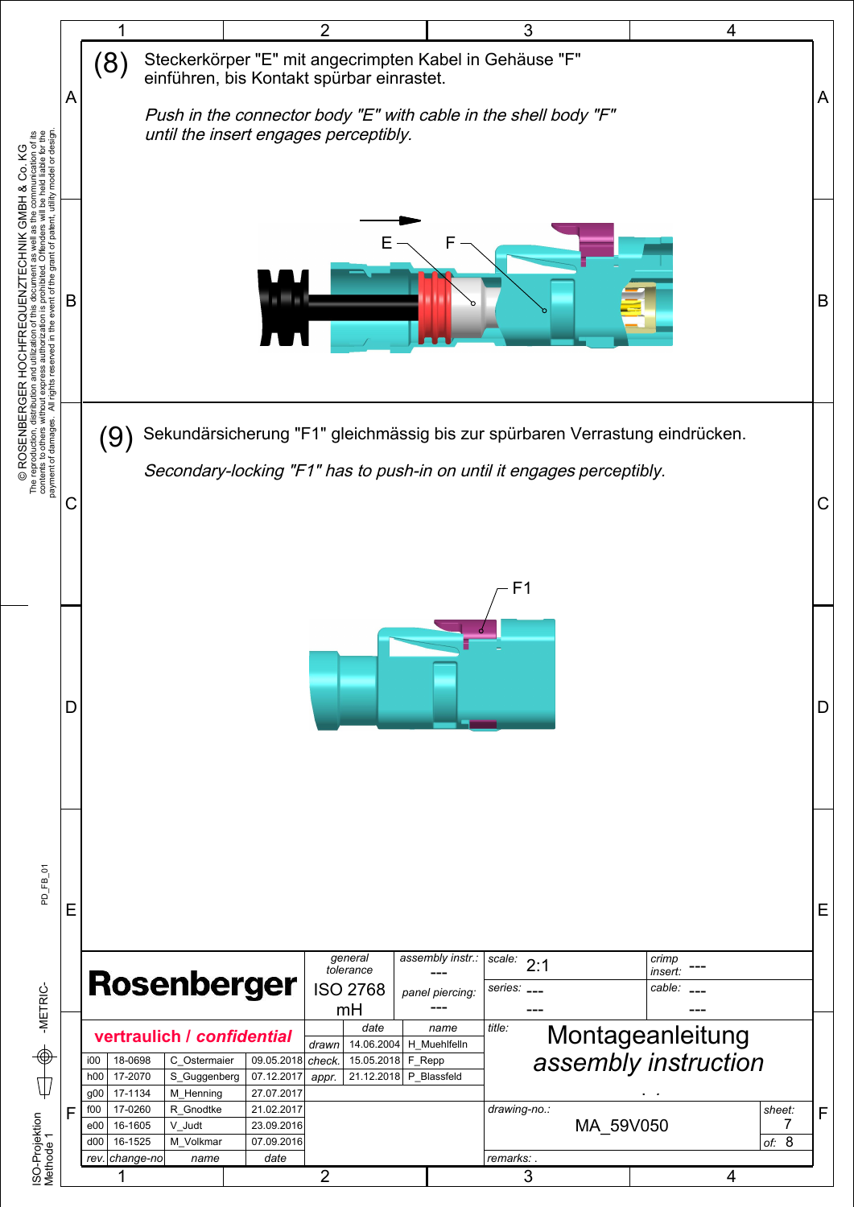